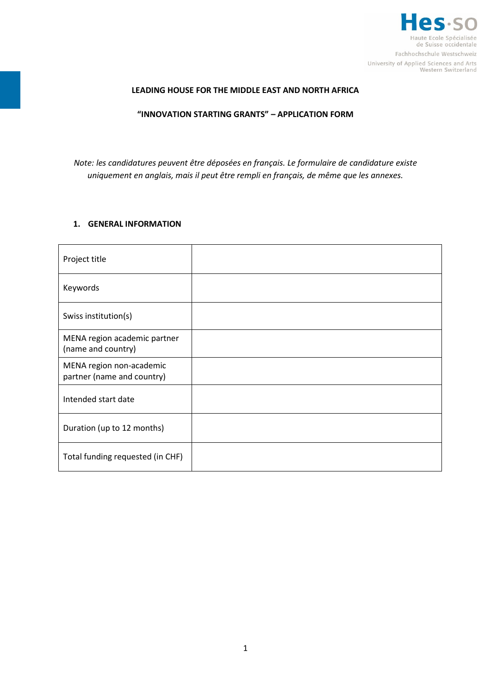

## **LEADING HOUSE FOR THE MIDDLE EAST AND NORTH AFRICA**

### **"INNOVATION STARTING GRANTS" – APPLICATION FORM**

*Note: les candidatures peuvent être déposées en français. Le formulaire de candidature existe uniquement en anglais, mais il peut être rempli en français, de même que les annexes.*

### **1. GENERAL INFORMATION**

| Project title                                          |  |
|--------------------------------------------------------|--|
| Keywords                                               |  |
| Swiss institution(s)                                   |  |
| MENA region academic partner<br>(name and country)     |  |
| MENA region non-academic<br>partner (name and country) |  |
| Intended start date                                    |  |
| Duration (up to 12 months)                             |  |
| Total funding requested (in CHF)                       |  |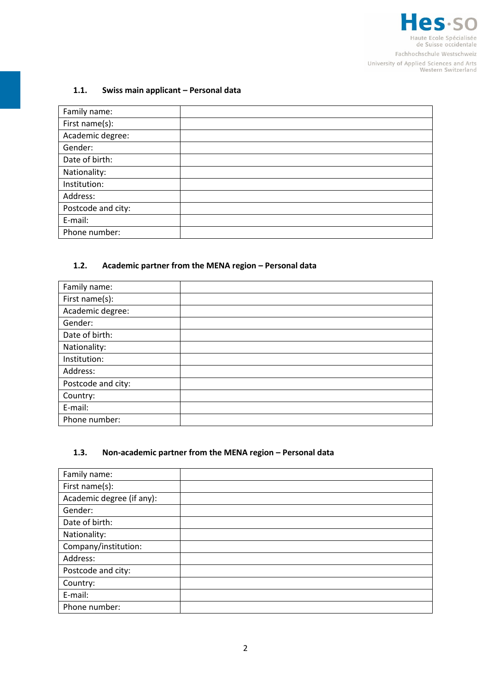

### **1.1. Swiss main applicant – Personal data**

| Family name:       |  |
|--------------------|--|
| First name(s):     |  |
| Academic degree:   |  |
| Gender:            |  |
| Date of birth:     |  |
| Nationality:       |  |
| Institution:       |  |
| Address:           |  |
| Postcode and city: |  |
| E-mail:            |  |
| Phone number:      |  |

### **1.2. Academic partner from the MENA region – Personal data**

| Family name:       |  |
|--------------------|--|
| First name(s):     |  |
| Academic degree:   |  |
| Gender:            |  |
| Date of birth:     |  |
| Nationality:       |  |
| Institution:       |  |
| Address:           |  |
| Postcode and city: |  |
| Country:           |  |
| E-mail:            |  |
| Phone number:      |  |

## **1.3. Non-academic partner from the MENA region – Personal data**

| Family name:              |  |
|---------------------------|--|
| First name(s):            |  |
| Academic degree (if any): |  |
| Gender:                   |  |
| Date of birth:            |  |
| Nationality:              |  |
| Company/institution:      |  |
| Address:                  |  |
| Postcode and city:        |  |
| Country:                  |  |
| E-mail:                   |  |
| Phone number:             |  |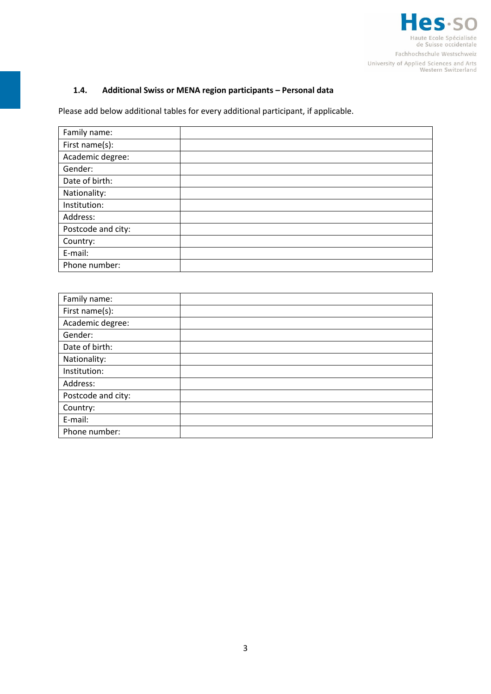

# **1.4. Additional Swiss or MENA region participants – Personal data**

Please add below additional tables for every additional participant, if applicable.

| Family name:       |  |
|--------------------|--|
| First name(s):     |  |
| Academic degree:   |  |
| Gender:            |  |
| Date of birth:     |  |
| Nationality:       |  |
| Institution:       |  |
| Address:           |  |
| Postcode and city: |  |
| Country:           |  |
| E-mail:            |  |
| Phone number:      |  |

| Family name:       |  |
|--------------------|--|
| First name(s):     |  |
| Academic degree:   |  |
| Gender:            |  |
| Date of birth:     |  |
| Nationality:       |  |
| Institution:       |  |
| Address:           |  |
| Postcode and city: |  |
| Country:           |  |
| E-mail:            |  |
| Phone number:      |  |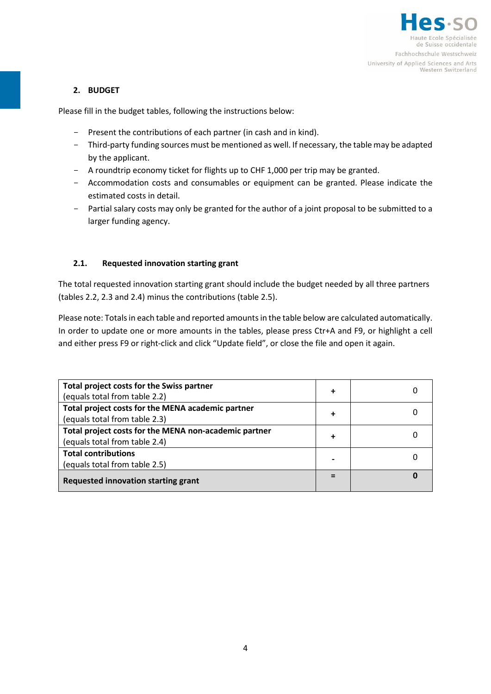

## **2. BUDGET**

Please fill in the budget tables, following the instructions below:

- Present the contributions of each partner (in cash and in kind).
- Third-party funding sources must be mentioned as well. If necessary, the table may be adapted by the applicant.
- A roundtrip economy ticket for flights up to CHF 1,000 per trip may be granted.
- Accommodation costs and consumables or equipment can be granted. Please indicate the estimated costs in detail.
- Partial salary costs may only be granted for the author of a joint proposal to be submitted to a larger funding agency.

## **2.1. Requested innovation starting grant**

The total requested innovation starting grant should include the budget needed by all three partners (tables 2.2, 2.3 and 2.4) minus the contributions (table 2.5).

Please note: Totals in each table and reported amounts in the table below are calculated automatically. In order to update one or more amounts in the tables, please press Ctr+A and F9, or highlight a cell and either press F9 or right-click and click "Update field", or close the file and open it again.

| Total project costs for the Swiss partner<br>(equals total from table 2.2)             | $\ddot{}$ |  |
|----------------------------------------------------------------------------------------|-----------|--|
| Total project costs for the MENA academic partner<br>(equals total from table 2.3)     | ٠         |  |
| Total project costs for the MENA non-academic partner<br>(equals total from table 2.4) | $\ddot{}$ |  |
| <b>Total contributions</b><br>(equals total from table 2.5)                            |           |  |
| Requested innovation starting grant                                                    |           |  |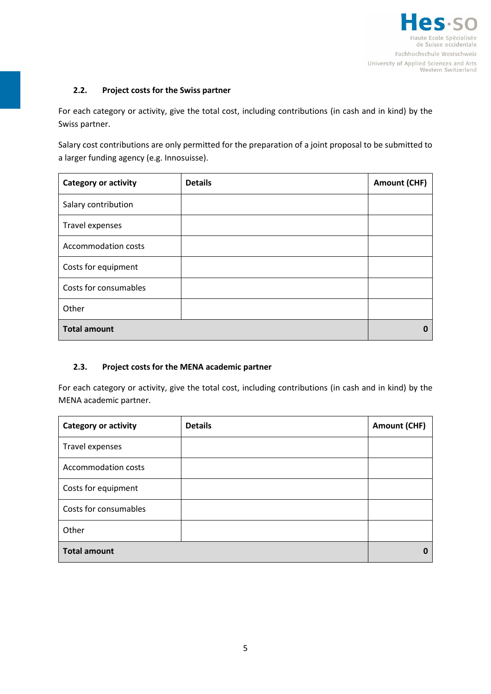

## **2.2. Project costs for the Swiss partner**

For each category or activity, give the total cost, including contributions (in cash and in kind) by the Swiss partner.

Salary cost contributions are only permitted for the preparation of a joint proposal to be submitted to a larger funding agency (e.g. Innosuisse).

| <b>Category or activity</b> | <b>Details</b> | <b>Amount (CHF)</b> |
|-----------------------------|----------------|---------------------|
| Salary contribution         |                |                     |
| Travel expenses             |                |                     |
| <b>Accommodation costs</b>  |                |                     |
| Costs for equipment         |                |                     |
| Costs for consumables       |                |                     |
| Other                       |                |                     |
| <b>Total amount</b>         |                | n                   |

### **2.3. Project costs for the MENA academic partner**

For each category or activity, give the total cost, including contributions (in cash and in kind) by the MENA academic partner.

| <b>Category or activity</b> | <b>Details</b> | <b>Amount (CHF)</b> |
|-----------------------------|----------------|---------------------|
| Travel expenses             |                |                     |
| <b>Accommodation costs</b>  |                |                     |
| Costs for equipment         |                |                     |
| Costs for consumables       |                |                     |
| Other                       |                |                     |
| <b>Total amount</b>         |                |                     |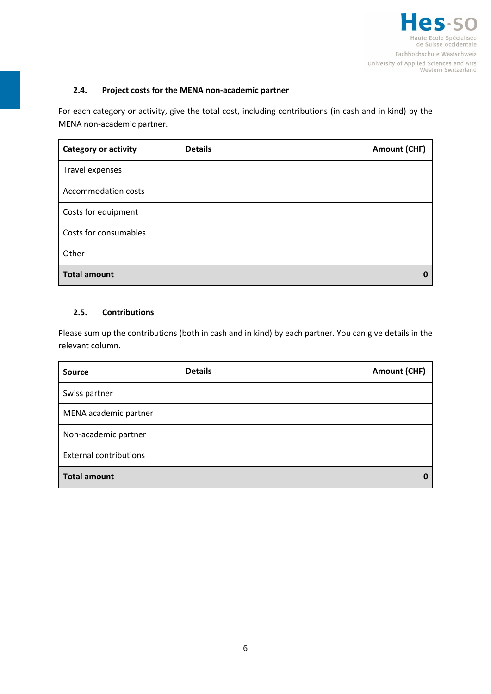

## **2.4. Project costs for the MENA non-academic partner**

For each category or activity, give the total cost, including contributions (in cash and in kind) by the MENA non-academic partner.

| <b>Category or activity</b> | <b>Details</b> | <b>Amount (CHF)</b> |
|-----------------------------|----------------|---------------------|
| Travel expenses             |                |                     |
| <b>Accommodation costs</b>  |                |                     |
| Costs for equipment         |                |                     |
| Costs for consumables       |                |                     |
| Other                       |                |                     |
| <b>Total amount</b>         |                |                     |

## **2.5. Contributions**

Please sum up the contributions (both in cash and in kind) by each partner. You can give details in the relevant column.

| <b>Source</b>                 | <b>Details</b> | <b>Amount (CHF)</b> |
|-------------------------------|----------------|---------------------|
| Swiss partner                 |                |                     |
| MENA academic partner         |                |                     |
| Non-academic partner          |                |                     |
| <b>External contributions</b> |                |                     |
| <b>Total amount</b>           |                |                     |